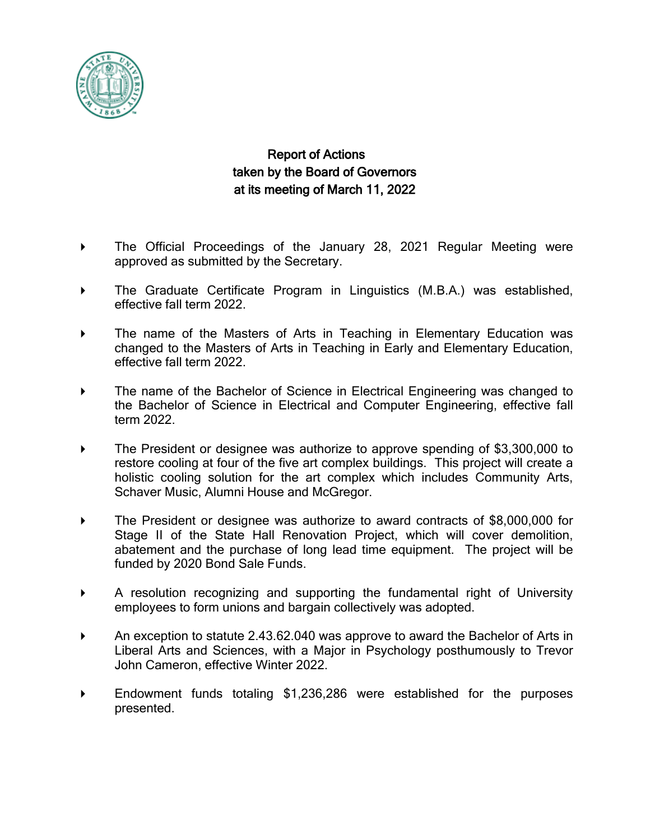

## Report of Actions taken by the Board of Governors at its meeting of March 11, 2022

- The Official Proceedings of the January 28, 2021 Regular Meeting were approved as submitted by the Secretary.
- The Graduate Certificate Program in Linguistics (M.B.A.) was established, effective fall term 2022.
- The name of the Masters of Arts in Teaching in Elementary Education was changed to the Masters of Arts in Teaching in Early and Elementary Education, effective fall term 2022.
- The name of the Bachelor of Science in Electrical Engineering was changed to the Bachelor of Science in Electrical and Computer Engineering, effective fall term 2022.
- ▶ The President or designee was authorize to approve spending of \$3,300,000 to restore cooling at four of the five art complex buildings. This project will create a holistic cooling solution for the art complex which includes Community Arts, Schaver Music, Alumni House and McGregor.
- The President or designee was authorize to award contracts of \$8,000,000 for Stage II of the State Hall Renovation Project, which will cover demolition, abatement and the purchase of long lead time equipment. The project will be funded by 2020 Bond Sale Funds.
- A resolution recognizing and supporting the fundamental right of University employees to form unions and bargain collectively was adopted.
- An exception to statute 2.43.62.040 was approve to award the Bachelor of Arts in Liberal Arts and Sciences, with a Major in Psychology posthumously to Trevor John Cameron, effective Winter 2022.
- Endowment funds totaling \$1,236,286 were established for the purposes presented.